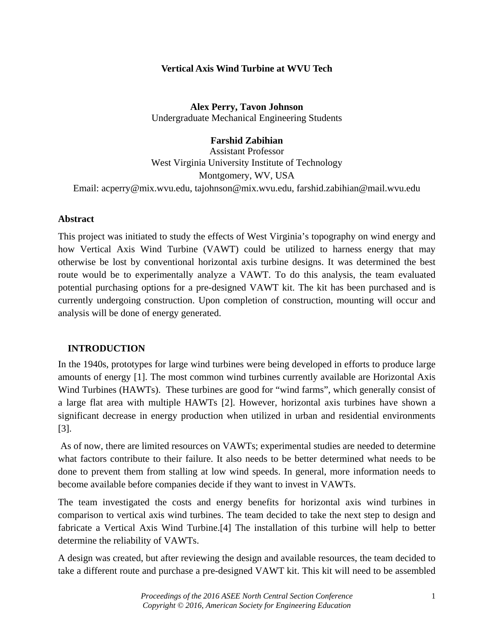# **Vertical Axis Wind Turbine at WVU Tech**

**Alex Perry, Tavon Johnson** Undergraduate Mechanical Engineering Students

**Farshid Zabihian**

Assistant Professor West Virginia University Institute of Technology Montgomery, WV, USA Email: [acperry@mix.wvu.edu,](mailto:acperry@mix.wvu.edu) [tajohnson@mix.wvu.edu,](mailto:tajohnson@mix.wvu.edu) farshid.zabihian@mail.wvu.edu

#### **Abstract**

This project was initiated to study the effects of West Virginia's topography on wind energy and how Vertical Axis Wind Turbine (VAWT) could be utilized to harness energy that may otherwise be lost by conventional horizontal axis turbine designs. It was determined the best route would be to experimentally analyze a VAWT. To do this analysis, the team evaluated potential purchasing options for a pre-designed VAWT kit. The kit has been purchased and is currently undergoing construction. Upon completion of construction, mounting will occur and analysis will be done of energy generated.

# **INTRODUCTION**

In the 1940s, prototypes for large wind turbines were being developed in efforts to produce large amounts of energy [1]. The most common wind turbines currently available are Horizontal Axis Wind Turbines (HAWTs). These turbines are good for "wind farms", which generally consist of a large flat area with multiple HAWTs [2]. However, horizontal axis turbines have shown a significant decrease in energy production when utilized in urban and residential environments [3].

As of now, there are limited resources on VAWTs; experimental studies are needed to determine what factors contribute to their failure. It also needs to be better determined what needs to be done to prevent them from stalling at low wind speeds. In general, more information needs to become available before companies decide if they want to invest in VAWTs.

The team investigated the costs and energy benefits for horizontal axis wind turbines in comparison to vertical axis wind turbines. The team decided to take the next step to design and fabricate a Vertical Axis Wind Turbine.[4] The installation of this turbine will help to better determine the reliability of VAWTs.

A design was created, but after reviewing the design and available resources, the team decided to take a different route and purchase a pre-designed VAWT kit. This kit will need to be assembled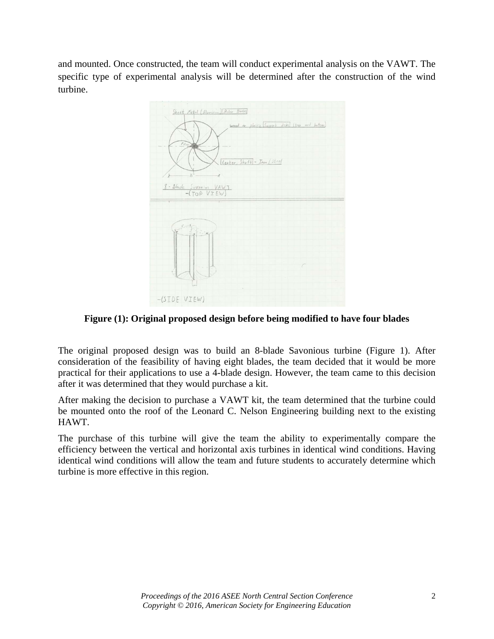and mounted. Once constructed, the team will conduct experimental analysis on the VAWT. The specific type of experimental analysis will be determined after the construction of the wind turbine.



**Figure (1): Original proposed design before being modified to have four blades** 

The original proposed design was to build an 8-blade Savonious turbine (Figure 1). After consideration of the feasibility of having eight blades, the team decided that it would be more practical for their applications to use a 4-blade design. However, the team came to this decision after it was determined that they would purchase a kit.

After making the decision to purchase a VAWT kit, the team determined that the turbine could be mounted onto the roof of the Leonard C. Nelson Engineering building next to the existing HAWT.

The purchase of this turbine will give the team the ability to experimentally compare the efficiency between the vertical and horizontal axis turbines in identical wind conditions. Having identical wind conditions will allow the team and future students to accurately determine which turbine is more effective in this region.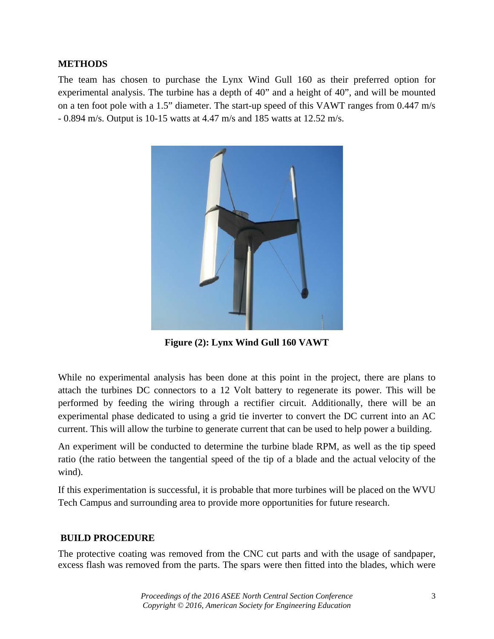### **METHODS**

The team has chosen to purchase the Lynx Wind Gull 160 as their preferred option for experimental analysis. The turbine has a depth of 40" and a height of 40", and will be mounted on a ten foot pole with a 1.5" diameter. The start-up speed of this VAWT ranges from 0.447 m/s - 0.894 m/s. Output is 10-15 watts at 4.47 m/s and 185 watts at 12.52 m/s.



**Figure (2): Lynx Wind Gull 160 VAWT**

While no experimental analysis has been done at this point in the project, there are plans to attach the turbines DC connectors to a 12 Volt battery to regenerate its power. This will be performed by feeding the wiring through a rectifier circuit. Additionally, there will be an experimental phase dedicated to using a grid tie inverter to convert the DC current into an AC current. This will allow the turbine to generate current that can be used to help power a building.

An experiment will be conducted to determine the turbine blade RPM, as well as the tip speed ratio (the ratio between the tangential speed of the tip of a blade and the actual velocity of the wind).

If this experimentation is successful, it is probable that more turbines will be placed on the WVU Tech Campus and surrounding area to provide more opportunities for future research.

# **BUILD PROCEDURE**

The protective coating was removed from the CNC cut parts and with the usage of sandpaper, excess flash was removed from the parts. The spars were then fitted into the blades, which were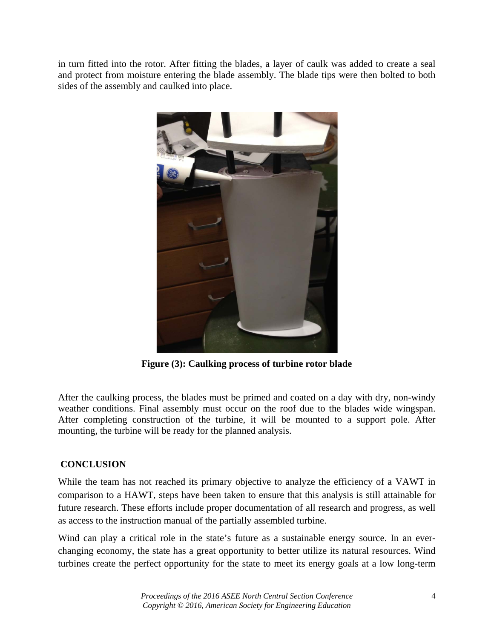in turn fitted into the rotor. After fitting the blades, a layer of caulk was added to create a seal and protect from moisture entering the blade assembly. The blade tips were then bolted to both sides of the assembly and caulked into place.



**Figure (3): Caulking process of turbine rotor blade**

After the caulking process, the blades must be primed and coated on a day with dry, non-windy weather conditions. Final assembly must occur on the roof due to the blades wide wingspan. After completing construction of the turbine, it will be mounted to a support pole. After mounting, the turbine will be ready for the planned analysis.

# **CONCLUSION**

While the team has not reached its primary objective to analyze the efficiency of a VAWT in comparison to a HAWT, steps have been taken to ensure that this analysis is still attainable for future research. These efforts include proper documentation of all research and progress, as well as access to the instruction manual of the partially assembled turbine.

Wind can play a critical role in the state's future as a sustainable energy source. In an everchanging economy, the state has a great opportunity to better utilize its natural resources. Wind turbines create the perfect opportunity for the state to meet its energy goals at a low long-term